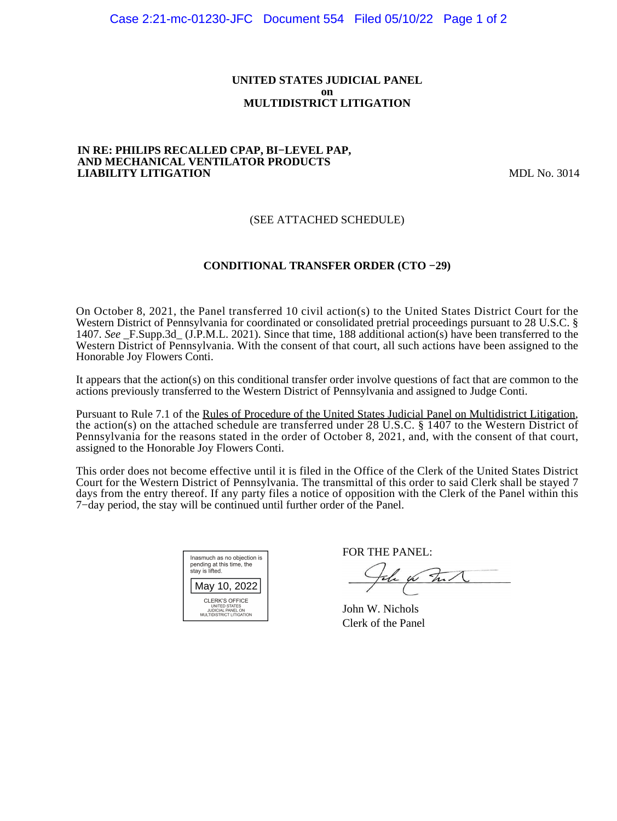### **UNITED STATES JUDICIAL PANEL on MULTIDISTRICT LITIGATION**

#### **IN RE: PHILIPS RECALLED CPAP, BI−LEVEL PAP, AND MECHANICAL VENTILATOR PRODUCTS LIABILITY LITIGATION** MDL No. 3014

# (SEE ATTACHED SCHEDULE)

### **CONDITIONAL TRANSFER ORDER (CTO −29)**

On October 8, 2021, the Panel transferred 10 civil action(s) to the United States District Court for the Western District of Pennsylvania for coordinated or consolidated pretrial proceedings pursuant to 28 U.S.C. § 1407. *See* \_F.Supp.3d\_ (J.P.M.L. 2021). Since that time, 188 additional action(s) have been transferred to the Western District of Pennsylvania. With the consent of that court, all such actions have been assigned to the Honorable Joy Flowers Conti.

It appears that the action(s) on this conditional transfer order involve questions of fact that are common to the actions previously transferred to the Western District of Pennsylvania and assigned to Judge Conti.

Pursuant to Rule 7.1 of the Rules of Procedure of the United States Judicial Panel on Multidistrict Litigation, the action(s) on the attached schedule are transferred under 28 U.S.C. § 1407 to the Western District of Pennsylvania for the reasons stated in the order of October 8, 2021, and, with the consent of that court, assigned to the Honorable Joy Flowers Conti.

This order does not become effective until it is filed in the Office of the Clerk of the United States District Court for the Western District of Pennsylvania. The transmittal of this order to said Clerk shall be stayed 7 days from the entry thereof. If any party files a notice of opposition with the Clerk of the Panel within this 7−day period, the stay will be continued until further order of the Panel.

| Inasmuch as no objection is<br>pending at this time, the<br>stay is lifted.      |  |  |  |  |
|----------------------------------------------------------------------------------|--|--|--|--|
| May 10, 2022                                                                     |  |  |  |  |
| CLERK'S OFFICE<br>UNITED STATES<br>JUDICIAL PANEL ON<br>MULTIDISTRICT LITIGATION |  |  |  |  |

FOR THE PANEL:

the for that

John W. Nichols Clerk of the Panel